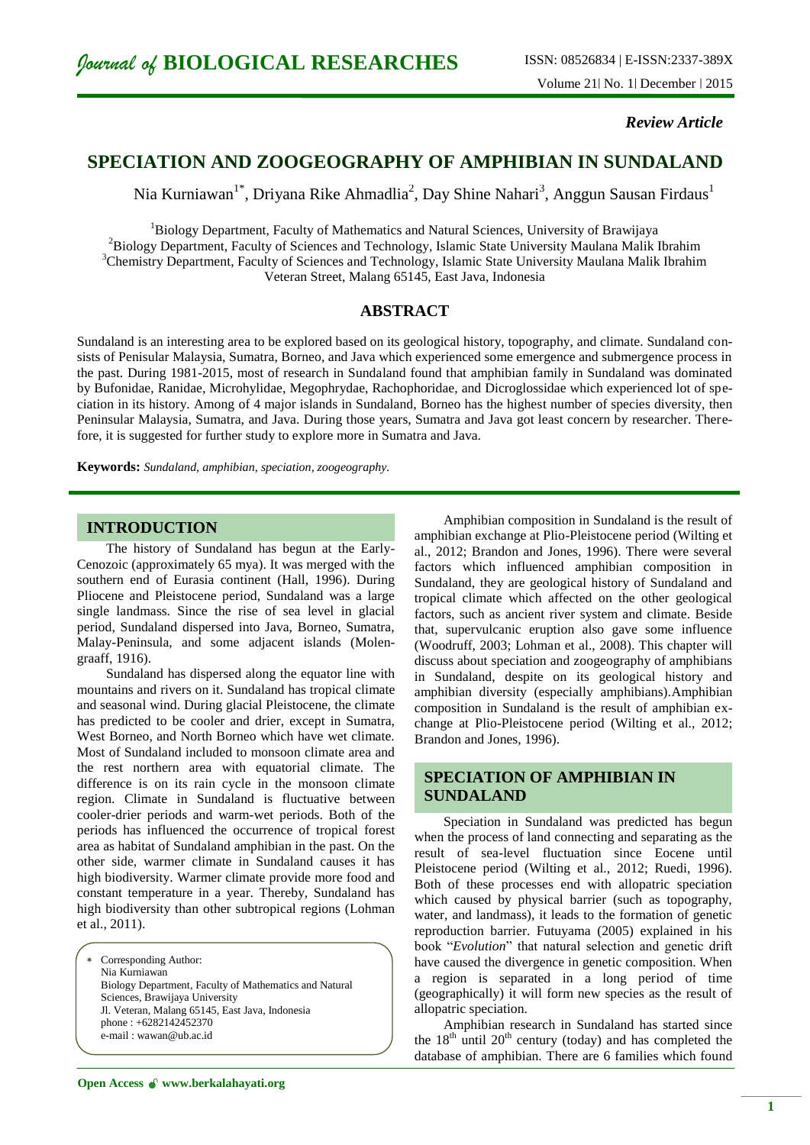*Review Article*

# **SPECIATION AND ZOOGEOGRAPHY OF AMPHIBIAN IN SUNDALAND**

Nia Kurniawan<sup>1\*</sup>, Driyana Rike Ahmadlia<sup>2</sup>, Day Shine Nahari<sup>3</sup>, Anggun Sausan Firdaus<sup>1</sup>

<sup>1</sup>Biology Department, Faculty of Mathematics and Natural Sciences, University of Brawijaya <sup>2</sup>Biology Department, Faculty of Sciences and Technology, Islamic State University Maulana Malik Ibrahim <sup>3</sup>Chemistry Department, Faculty of Sciences and Technology, Islamic State University Maulana Malik Ibrahim Veteran Street, Malang 65145, East Java, Indonesia

# **ABSTRACT**

Sundaland is an interesting area to be explored based on its geological history, topography, and climate. Sundaland consists of Penisular Malaysia, Sumatra, Borneo, and Java which experienced some emergence and submergence process in the past. During 1981-2015, most of research in Sundaland found that amphibian family in Sundaland was dominated by Bufonidae, Ranidae, Microhylidae, Megophrydae, Rachophoridae, and Dicroglossidae which experienced lot of speciation in its history. Among of 4 major islands in Sundaland, Borneo has the highest number of species diversity, then Peninsular Malaysia, Sumatra, and Java. During those years, Sumatra and Java got least concern by researcher. Therefore, it is suggested for further study to explore more in Sumatra and Java.

**Keywords:** *Sundaland, amphibian, speciation, zoogeography.*

# **INTRODUCTION**

The history of Sundaland has begun at the Early-Cenozoic (approximately 65 mya). It was merged with the southern end of Eurasia continent (Hall, 1996). During Pliocene and Pleistocene period, Sundaland was a large single landmass. Since the rise of sea level in glacial period, Sundaland dispersed into Java, Borneo, Sumatra, Malay-Peninsula, and some adjacent islands (Molengraaff, 1916).

Sundaland has dispersed along the equator line with mountains and rivers on it. Sundaland has tropical climate and seasonal wind. During glacial Pleistocene, the climate has predicted to be cooler and drier, except in Sumatra, West Borneo, and North Borneo which have wet climate. Most of Sundaland included to monsoon climate area and the rest northern area with equatorial climate. The difference is on its rain cycle in the monsoon climate region. Climate in Sundaland is fluctuative between cooler-drier periods and warm-wet periods. Both of the periods has influenced the occurrence of tropical forest area as habitat of Sundaland amphibian in the past. On the other side, warmer climate in Sundaland causes it has high biodiversity. Warmer climate provide more food and constant temperature in a year. Thereby, Sundaland has high biodiversity than other subtropical regions (Lohman et al., 2011).

 Corresponding Author: Nia Kurniawan Biology Department, Faculty of Mathematics and Natural Sciences, Brawijaya University Jl. Veteran, Malang 65145, East Java, Indonesia phone : +6282142452370 e-mail : wawan@ub.ac.id

Amphibian composition in Sundaland is the result of amphibian exchange at Plio-Pleistocene period (Wilting et al., 2012; Brandon and Jones, 1996). There were several factors which influenced amphibian composition in Sundaland, they are geological history of Sundaland and tropical climate which affected on the other geological factors, such as ancient river system and climate. Beside that, supervulcanic eruption also gave some influence (Woodruff, 2003; Lohman et al., 2008). This chapter will discuss about speciation and zoogeography of amphibians in Sundaland, despite on its geological history and amphibian diversity (especially amphibians).Amphibian composition in Sundaland is the result of amphibian exchange at Plio-Pleistocene period (Wilting et al., 2012; Brandon and Jones, 1996).

# **SPECIATION OF AMPHIBIAN IN SUNDALAND**

Speciation in Sundaland was predicted has begun when the process of land connecting and separating as the result of sea-level fluctuation since Eocene until Pleistocene period (Wilting et al., 2012; Ruedi, 1996). Both of these processes end with allopatric speciation which caused by physical barrier (such as topography, water, and landmass), it leads to the formation of genetic reproduction barrier. Futuyama (2005) explained in his book "*Evolution*" that natural selection and genetic drift have caused the divergence in genetic composition. When a region is separated in a long period of time (geographically) it will form new species as the result of allopatric speciation.

Amphibian research in Sundaland has started since the  $18<sup>th</sup>$  until  $20<sup>th</sup>$  century (today) and has completed the database of amphibian. There are 6 families which found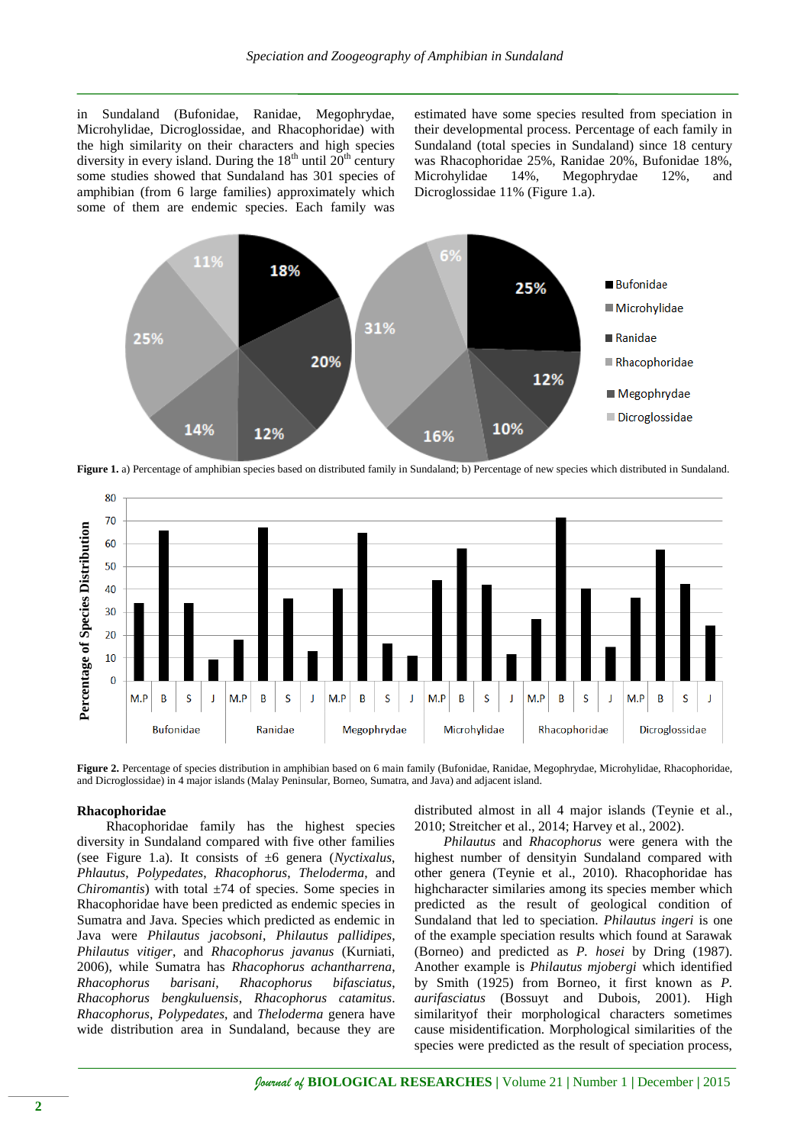in Sundaland (Bufonidae, Ranidae, Megophrydae, Microhylidae, Dicroglossidae, and Rhacophoridae) with the high similarity on their characters and high species diversity in every island. During the  $18<sup>th</sup>$  until  $20<sup>th</sup>$  century some studies showed that Sundaland has 301 species of amphibian (from 6 large families) approximately which some of them are endemic species. Each family was estimated have some species resulted from speciation in their developmental process. Percentage of each family in Sundaland (total species in Sundaland) since 18 century was Rhacophoridae 25%, Ranidae 20%, Bufonidae 18%, Microhylidae 14%, Megophrydae 12%, and Dicroglossidae 11% (Figure 1.a).



Figure 1. a) Percentage of amphibian species based on distributed family in Sundaland; b) Percentage of new species which distributed in Sundaland.



**Figure 2.** Percentage of species distribution in amphibian based on 6 main family (Bufonidae, Ranidae, Megophrydae, Microhylidae, Rhacophoridae, and Dicroglossidae) in 4 major islands (Malay Peninsular, Borneo, Sumatra, and Java) and adjacent island.

#### **Rhacophoridae**

Rhacophoridae family has the highest species diversity in Sundaland compared with five other families (see Figure 1.a). It consists of ±6 genera (*Nyctixalus*, *Phlautus*, *Polypedates*, *Rhacophorus*, *Theloderma*, and *Chiromantis*) with total  $\pm 74$  of species. Some species in Rhacophoridae have been predicted as endemic species in Sumatra and Java. Species which predicted as endemic in Java were *Philautus jacobsoni*, *Philautus pallidipes*, *Philautus vitiger*, and *Rhacophorus javanus* (Kurniati, 2006), while Sumatra has *Rhacophorus achantharrena*, *Rhacophorus barisani*, *Rhacophorus bifasciatus*, *Rhacophorus bengkuluensis*, *Rhacophorus catamitus*. *Rhacophorus*, *Polypedates*, and *Theloderma* genera have wide distribution area in Sundaland, because they are distributed almost in all 4 major islands (Teynie et al., 2010; Streitcher et al., 2014; Harvey et al., 2002).

*Philautus* and *Rhacophorus* were genera with the highest number of densityin Sundaland compared with other genera (Teynie et al., 2010). Rhacophoridae has highcharacter similaries among its species member which predicted as the result of geological condition of Sundaland that led to speciation. *Philautus ingeri* is one of the example speciation results which found at Sarawak (Borneo) and predicted as *P. hosei* by Dring (1987). Another example is *Philautus mjobergi* which identified by Smith (1925) from Borneo, it first known as *P. aurifasciatus* (Bossuyt and Dubois, 2001). High similarityof their morphological characters sometimes cause misidentification. Morphological similarities of the species were predicted as the result of speciation process,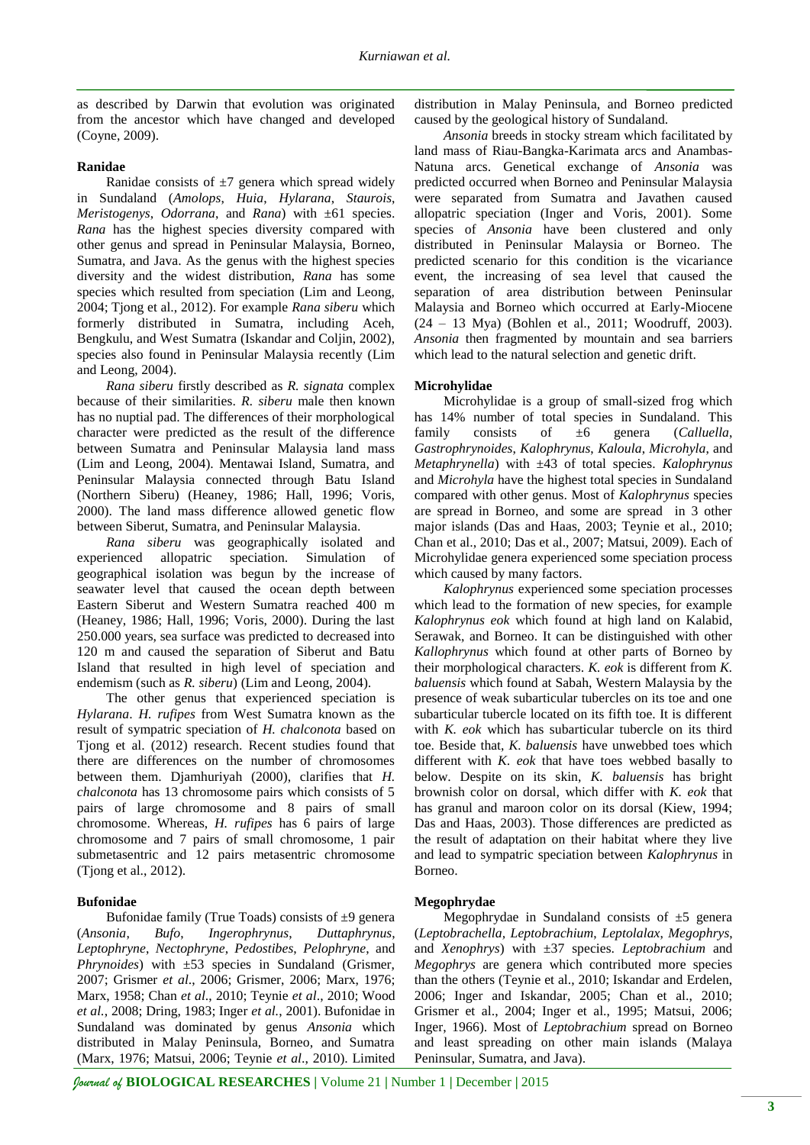as described by Darwin that evolution was originated from the ancestor which have changed and developed (Coyne, 2009).

#### **Ranidae**

Ranidae consists of  $\pm 7$  genera which spread widely in Sundaland (*Amolops*, *Huia*, *Hylarana*, *Staurois*, *Meristogenys*, *Odorrana*, and *Rana*) with ±61 species. *Rana* has the highest species diversity compared with other genus and spread in Peninsular Malaysia, Borneo, Sumatra, and Java. As the genus with the highest species diversity and the widest distribution, *Rana* has some species which resulted from speciation (Lim and Leong, 2004; Tjong et al., 2012). For example *Rana siberu* which formerly distributed in Sumatra, including Aceh, Bengkulu, and West Sumatra (Iskandar and Coljin, 2002), species also found in Peninsular Malaysia recently (Lim and Leong, 2004).

*Rana siberu* firstly described as *R. signata* complex because of their similarities. *R. siberu* male then known has no nuptial pad. The differences of their morphological character were predicted as the result of the difference between Sumatra and Peninsular Malaysia land mass (Lim and Leong, 2004). Mentawai Island, Sumatra, and Peninsular Malaysia connected through Batu Island (Northern Siberu) (Heaney, 1986; Hall, 1996; Voris, 2000). The land mass difference allowed genetic flow between Siberut, Sumatra, and Peninsular Malaysia.

*Rana siberu* was geographically isolated and experienced allopatric speciation. Simulation of geographical isolation was begun by the increase of seawater level that caused the ocean depth between Eastern Siberut and Western Sumatra reached 400 m (Heaney, 1986; Hall, 1996; Voris, 2000). During the last 250.000 years, sea surface was predicted to decreased into 120 m and caused the separation of Siberut and Batu Island that resulted in high level of speciation and endemism (such as *R. siberu*) (Lim and Leong, 2004).

The other genus that experienced speciation is *Hylarana*. *H. rufipes* from West Sumatra known as the result of sympatric speciation of *H. chalconota* based on Tjong et al. (2012) research. Recent studies found that there are differences on the number of chromosomes between them. Djamhuriyah (2000), clarifies that *H. chalconota* has 13 chromosome pairs which consists of 5 pairs of large chromosome and 8 pairs of small chromosome. Whereas, *H. rufipes* has 6 pairs of large chromosome and 7 pairs of small chromosome, 1 pair submetasentric and 12 pairs metasentric chromosome (Tjong et al., 2012).

## **Bufonidae**

Bufonidae family (True Toads) consists of  $\pm 9$  genera (*Ansonia*, *Bufo*, *Ingerophrynus*, *Duttaphrynus*, *Leptophryne*, *Nectophryne*, *Pedostibes*, *Pelophryne*, and *Phrynoides*) with ±53 species in Sundaland (Grismer, 2007; Grismer *et al*., 2006; Grismer, 2006; Marx, 1976; Marx, 1958; Chan *et al*., 2010; Teynie *et al*., 2010; Wood *et al.*, 2008; Dring, 1983; Inger *et al.*, 2001). Bufonidae in Sundaland was dominated by genus *Ansonia* which distributed in Malay Peninsula, Borneo, and Sumatra (Marx, 1976; Matsui, 2006; Teynie *et al*., 2010). Limited

distribution in Malay Peninsula, and Borneo predicted caused by the geological history of Sundaland.

*Ansonia* breeds in stocky stream which facilitated by land mass of Riau-Bangka-Karimata arcs and Anambas-Natuna arcs. Genetical exchange of *Ansonia* was predicted occurred when Borneo and Peninsular Malaysia were separated from Sumatra and Javathen caused allopatric speciation (Inger and Voris, 2001). Some species of *Ansonia* have been clustered and only distributed in Peninsular Malaysia or Borneo. The predicted scenario for this condition is the vicariance event, the increasing of sea level that caused the separation of area distribution between Peninsular Malaysia and Borneo which occurred at Early-Miocene (24 – 13 Mya) (Bohlen et al., 2011; Woodruff, 2003). *Ansonia* then fragmented by mountain and sea barriers which lead to the natural selection and genetic drift.

### **Microhylidae**

Microhylidae is a group of small-sized frog which has 14% number of total species in Sundaland. This family consists of ±6 genera (*Calluella*, *Gastrophrynoides*, *Kalophrynus*, *Kaloula*, *Microhyla*, and *Metaphrynella*) with ±43 of total species. *Kalophrynus*  and *Microhyla* have the highest total species in Sundaland compared with other genus. Most of *Kalophrynus* species are spread in Borneo, and some are spread in 3 other major islands (Das and Haas, 2003; Teynie et al., 2010; Chan et al., 2010; Das et al., 2007; Matsui, 2009). Each of Microhylidae genera experienced some speciation process which caused by many factors.

*Kalophrynus* experienced some speciation processes which lead to the formation of new species, for example *Kalophrynus eok* which found at high land on Kalabid, Serawak, and Borneo. It can be distinguished with other *Kallophrynus* which found at other parts of Borneo by their morphological characters. *K. eok* is different from *K. baluensis* which found at Sabah, Western Malaysia by the presence of weak subarticular tubercles on its toe and one subarticular tubercle located on its fifth toe. It is different with *K. eok* which has subarticular tubercle on its third toe. Beside that, *K. baluensis* have unwebbed toes which different with *K*. *eok* that have toes webbed basally to below. Despite on its skin, *K. baluensis* has bright brownish color on dorsal, which differ with *K. eok* that has granul and maroon color on its dorsal (Kiew, 1994; Das and Haas, 2003). Those differences are predicted as the result of adaptation on their habitat where they live and lead to sympatric speciation between *Kalophrynus* in Borneo.

## **Megophrydae**

Megophrydae in Sundaland consists of  $\pm 5$  genera (*Leptobrachella, Leptobrachium*, *Leptolalax*, *Megophrys*, and *Xenophrys*) with ±37 species. *Leptobrachium* and *Megophrys* are genera which contributed more species than the others (Teynie et al., 2010; Iskandar and Erdelen, 2006; Inger and Iskandar, 2005; Chan et al., 2010; Grismer et al., 2004; Inger et al., 1995; Matsui, 2006; Inger, 1966). Most of *Leptobrachium* spread on Borneo and least spreading on other main islands (Malaya Peninsular, Sumatra, and Java).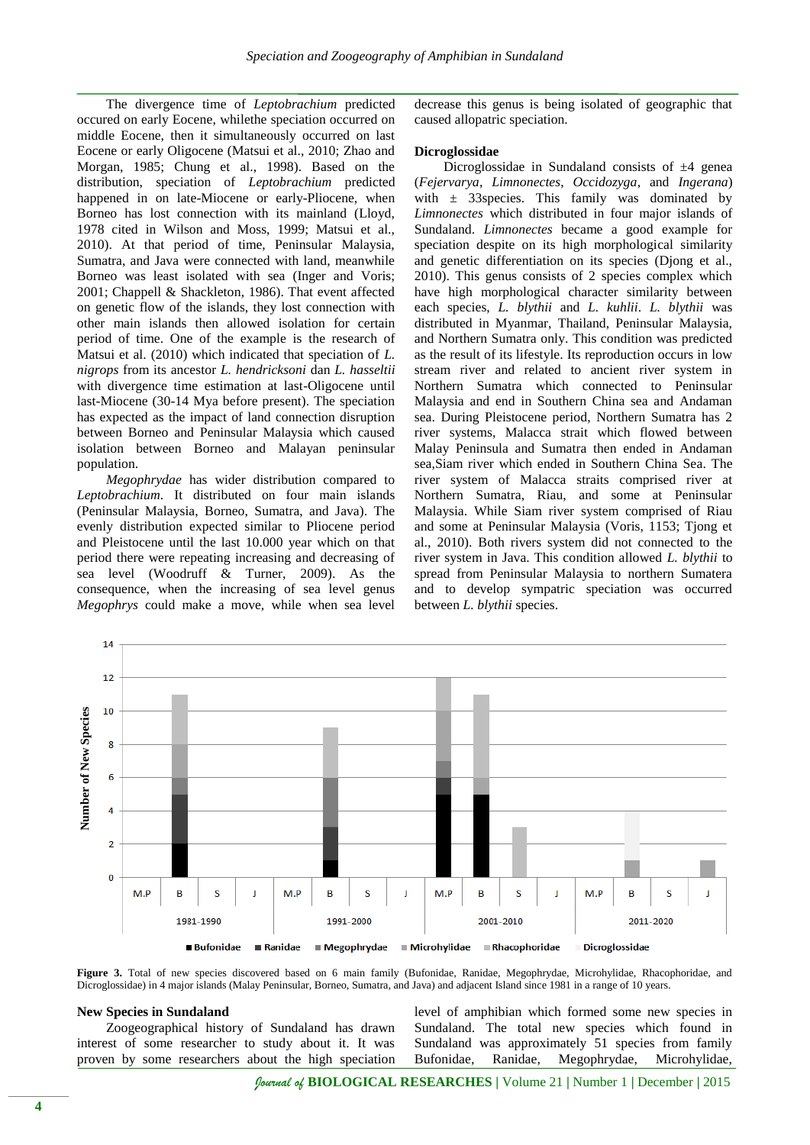The divergence time of *Leptobrachium* predicted occured on early Eocene, whilethe speciation occurred on middle Eocene, then it simultaneously occurred on last Eocene or early Oligocene (Matsui et al., 2010; Zhao and Morgan, 1985; Chung et al., 1998). Based on the distribution, speciation of *Leptobrachium* predicted happened in on late-Miocene or early-Pliocene, when Borneo has lost connection with its mainland (Lloyd, 1978 cited in Wilson and Moss, 1999; Matsui et al., 2010). At that period of time, Peninsular Malaysia, Sumatra, and Java were connected with land, meanwhile Borneo was least isolated with sea (Inger and Voris; 2001; Chappell & Shackleton, 1986). That event affected on genetic flow of the islands, they lost connection with other main islands then allowed isolation for certain period of time. One of the example is the research of Matsui et al. (2010) which indicated that speciation of *L. nigrops* from its ancestor *L. hendricksoni* dan *L. hasseltii*  with divergence time estimation at last-Oligocene until last-Miocene (30-14 Mya before present). The speciation has expected as the impact of land connection disruption between Borneo and Peninsular Malaysia which caused isolation between Borneo and Malayan peninsular population.

*Megophrydae* has wider distribution compared to *Leptobrachium*. It distributed on four main islands (Peninsular Malaysia, Borneo, Sumatra, and Java). The evenly distribution expected similar to Pliocene period and Pleistocene until the last 10.000 year which on that period there were repeating increasing and decreasing of sea level (Woodruff & Turner, 2009). As the consequence, when the increasing of sea level genus *Megophrys* could make a move, while when sea level decrease this genus is being isolated of geographic that caused allopatric speciation.

#### **Dicroglossidae**

Dicroglossidae in Sundaland consists of  $\pm 4$  genea (*Fejervarya*, *Limnonectes*, *Occidozyga*, and *Ingerana*) with  $\pm$  33 species. This family was dominated by *Limnonectes* which distributed in four major islands of Sundaland. *Limnonectes* became a good example for speciation despite on its high morphological similarity and genetic differentiation on its species (Djong et al., 2010). This genus consists of 2 species complex which have high morphological character similarity between each species, *L. blythii* and *L. kuhlii*. *L. blythii* was distributed in Myanmar, Thailand, Peninsular Malaysia, and Northern Sumatra only. This condition was predicted as the result of its lifestyle. Its reproduction occurs in low stream river and related to ancient river system in Northern Sumatra which connected to Peninsular Malaysia and end in Southern China sea and Andaman sea. During Pleistocene period, Northern Sumatra has 2 river systems, Malacca strait which flowed between Malay Peninsula and Sumatra then ended in Andaman sea,Siam river which ended in Southern China Sea. The river system of Malacca straits comprised river at Northern Sumatra, Riau, and some at Peninsular Malaysia. While Siam river system comprised of Riau and some at Peninsular Malaysia (Voris, 1153; Tjong et al., 2010). Both rivers system did not connected to the river system in Java. This condition allowed *L. blythii* to spread from Peninsular Malaysia to northern Sumatera and to develop sympatric speciation was occurred between *L. blythii* species.



**Figure 3.** Total of new species discovered based on 6 main family (Bufonidae, Ranidae, Megophrydae, Microhylidae, Rhacophoridae, and Dicroglossidae) in 4 major islands (Malay Peninsular, Borneo, Sumatra, and Java) and adjacent Island since 1981 in a range of 10 years.

#### **New Species in Sundaland**

Zoogeographical history of Sundaland has drawn interest of some researcher to study about it. It was proven by some researchers about the high speciation level of amphibian which formed some new species in Sundaland. The total new species which found in Sundaland was approximately 51 species from family Bufonidae, Ranidae, Megophrydae, Microhylidae,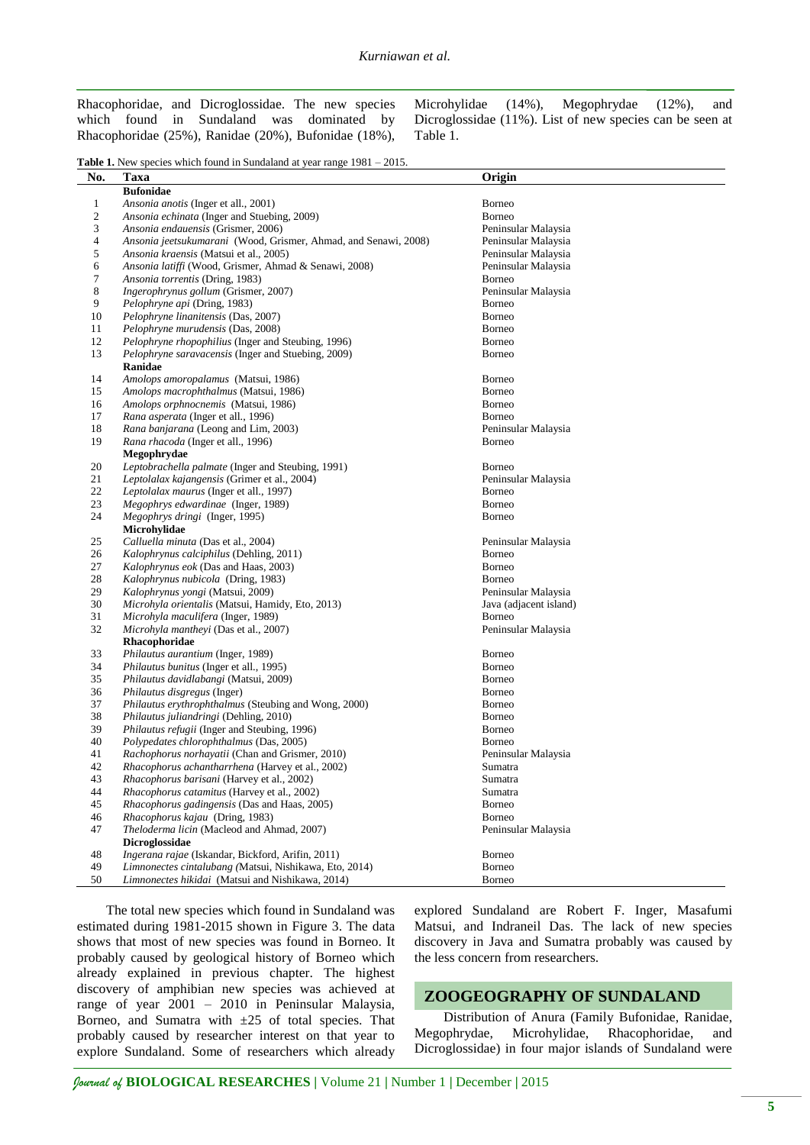Rhacophoridae, and Dicroglossidae. The new species which found in Sundaland was dominated by Rhacophoridae (25%), Ranidae (20%), Bufonidae (18%), Microhylidae (14%), Megophrydae (12%), and Dicroglossidae (11%). List of new species can be seen at Table 1.

**Table 1.** New species which found in Sundaland at year range  $1981 - 2015$ .

| No.            | <b>Taxa</b>                                                     | Origin                 |
|----------------|-----------------------------------------------------------------|------------------------|
|                | <b>Bufonidae</b>                                                |                        |
| $\mathbf{1}$   | <i>Ansonia anotis</i> (Inger et all., 2001)                     | <b>Borneo</b>          |
| $\sqrt{2}$     | Ansonia echinata (Inger and Stuebing, 2009)                     | Borneo                 |
| 3              | Ansonia endauensis (Grismer, 2006)                              | Peninsular Malaysia    |
| $\overline{4}$ | Ansonia jeetsukumarani (Wood, Grismer, Ahmad, and Senawi, 2008) | Peninsular Malaysia    |
| $\sqrt{5}$     | Ansonia kraensis (Matsui et al., 2005)                          | Peninsular Malaysia    |
| 6              | Ansonia latiffi (Wood, Grismer, Ahmad & Senawi, 2008)           | Peninsular Malaysia    |
| 7              | Ansonia torrentis (Dring, 1983)                                 | <b>Borneo</b>          |
| 8              | Ingerophrynus gollum (Grismer, 2007)                            | Peninsular Malaysia    |
| 9              | Pelophryne api (Dring, 1983)                                    | <b>Borneo</b>          |
| 10             | Pelophryne linanitensis (Das, 2007)                             | <b>Borneo</b>          |
| 11             | Pelophryne murudensis (Das, 2008)                               | <b>Borneo</b>          |
| 12             | Pelophryne rhopophilius (Inger and Steubing, 1996)              | <b>Borneo</b>          |
| 13             | Pelophryne saravacensis (Inger and Stuebing, 2009)              | <b>Borneo</b>          |
|                | Ranidae                                                         |                        |
| 14             | Amolops amoropalamus (Matsui, 1986)                             | <b>Borneo</b>          |
| 15             | Amolops macrophthalmus (Matsui, 1986)                           | <b>Borneo</b>          |
| 16             | Amolops orphnocnemis (Matsui, 1986)                             | Borneo                 |
| 17             | Rana asperata (Inger et all., 1996)                             | <b>Borneo</b>          |
| 18             | Rana banjarana (Leong and Lim, 2003)                            | Peninsular Malaysia    |
| 19             | Rana rhacoda (Inger et all., 1996)                              | <b>Borneo</b>          |
|                | Megophrydae                                                     |                        |
| 20             | Leptobrachella palmate (Inger and Steubing, 1991)               | <b>Borneo</b>          |
| 21             | Leptolalax kajangensis (Grimer et al., 2004)                    | Peninsular Malaysia    |
| 22             | Leptolalax maurus (Inger et all., 1997)                         | <b>Borneo</b>          |
| 23             | Megophrys edwardinae (Inger, 1989)                              | <b>Borneo</b>          |
| 24             | <i>Megophrys dringi</i> (Inger, 1995)                           | Borneo                 |
|                | Microhylidae                                                    |                        |
| 25             | Calluella minuta (Das et al., 2004)                             | Peninsular Malaysia    |
| 26             | Kalophrynus calciphilus (Dehling, 2011)                         | Borneo                 |
| 27             | Kalophrynus eok (Das and Haas, 2003)                            | Borneo                 |
| 28             | Kalophrynus nubicola (Dring, 1983)                              | <b>Borneo</b>          |
| 29             | Kalophrynus yongi (Matsui, 2009)                                | Peninsular Malaysia    |
| 30             | Microhyla orientalis (Matsui, Hamidy, Eto, 2013)                | Java (adjacent island) |
| 31             | Microhyla maculifera (Inger, 1989)                              | Borneo                 |
| 32             | Microhyla mantheyi (Das et al., 2007)                           | Peninsular Malaysia    |
|                | Rhacophoridae                                                   |                        |
| 33             | Philautus aurantium (Inger, 1989)                               | <b>Borneo</b>          |
| 34             | Philautus bunitus (Inger et all., 1995)                         | <b>Borneo</b>          |
| 35             | Philautus davidlabangi (Matsui, 2009)                           | <b>Borneo</b>          |
| 36             | Philautus disgregus (Inger)                                     | <b>Borneo</b>          |
| 37             | Philautus erythrophthalmus (Steubing and Wong, 2000)            | <b>Borneo</b>          |
| 38             | Philautus juliandringi (Dehling, 2010)                          | <b>Borneo</b>          |
| 39             | Philautus refugii (Inger and Steubing, 1996)                    | Borneo                 |
| 40             | Polypedates chlorophthalmus (Das, 2005)                         | <b>Borneo</b>          |
| 41             | Rachophorus norhayatii (Chan and Grismer, 2010)                 | Peninsular Malaysia    |
| 42             | Rhacophorus achantharrhena (Harvey et al., 2002)                | Sumatra                |
| 43             | <i>Rhacophorus barisani</i> (Harvey et al., 2002)               | Sumatra                |
| 44             | Rhacophorus catamitus (Harvey et al., 2002)                     | Sumatra                |
| 45             | Rhacophorus gadingensis (Das and Haas, 2005)                    | Borneo                 |
| 46             | Rhacophorus kajau (Dring, 1983)                                 | Borneo                 |
| 47             | Theloderma licin (Macleod and Ahmad, 2007)                      | Peninsular Malaysia    |
|                | Dicroglossidae                                                  |                        |
| 48             | Ingerana rajae (Iskandar, Bickford, Arifin, 2011)               | <b>Borneo</b>          |
| 49             | Limnonectes cintalubang (Matsui, Nishikawa, Eto, 2014)          | Borneo                 |
| 50             | Limnonectes hikidai (Matsui and Nishikawa, 2014)                | Borneo                 |

The total new species which found in Sundaland was estimated during 1981-2015 shown in Figure 3. The data shows that most of new species was found in Borneo. It probably caused by geological history of Borneo which already explained in previous chapter. The highest discovery of amphibian new species was achieved at range of year 2001 – 2010 in Peninsular Malaysia, Borneo, and Sumatra with  $\pm 25$  of total species. That probably caused by researcher interest on that year to explore Sundaland. Some of researchers which already

explored Sundaland are Robert F. Inger, Masafumi Matsui, and Indraneil Das. The lack of new species discovery in Java and Sumatra probably was caused by the less concern from researchers.

### **ZOOGEOGRAPHY OF SUNDALAND**

Distribution of Anura (Family Bufonidae, Ranidae, Megophrydae, Microhylidae, Rhacophoridae, and Dicroglossidae) in four major islands of Sundaland were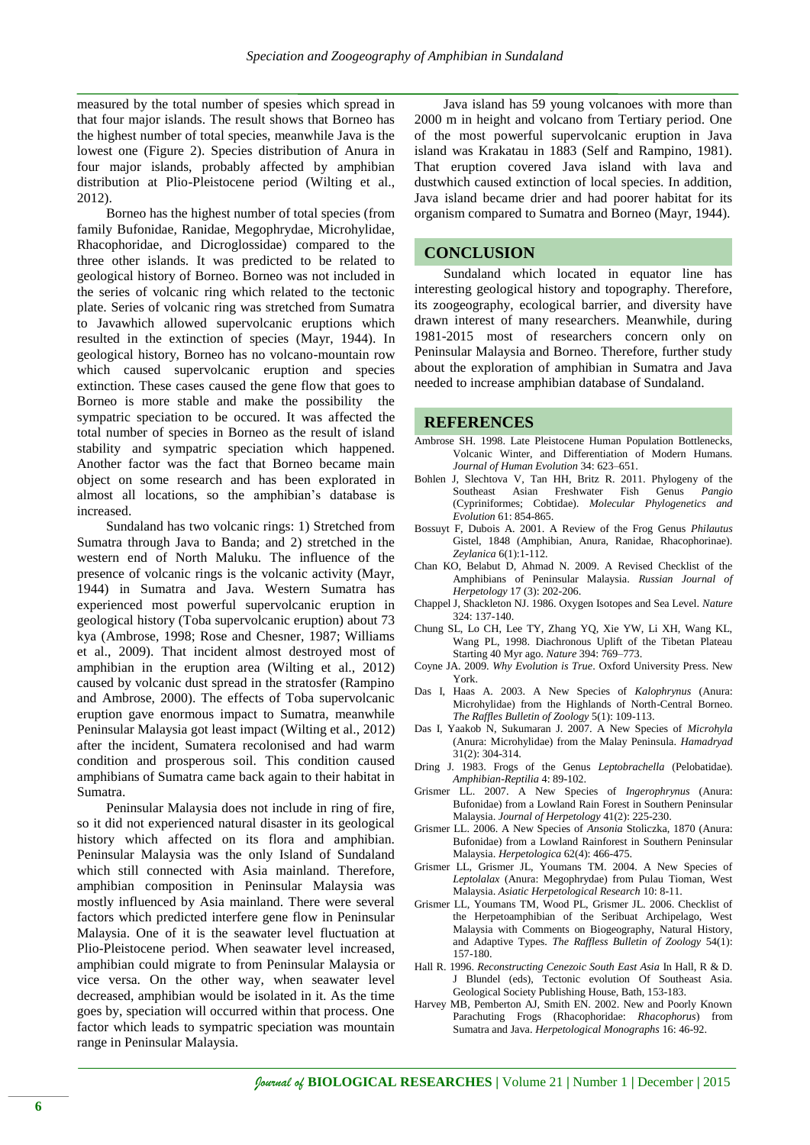measured by the total number of spesies which spread in that four major islands. The result shows that Borneo has the highest number of total species, meanwhile Java is the lowest one (Figure 2). Species distribution of Anura in four major islands, probably affected by amphibian distribution at Plio-Pleistocene period (Wilting et al., 2012).

Borneo has the highest number of total species (from family Bufonidae, Ranidae, Megophrydae, Microhylidae, Rhacophoridae, and Dicroglossidae) compared to the three other islands. It was predicted to be related to geological history of Borneo. Borneo was not included in the series of volcanic ring which related to the tectonic plate. Series of volcanic ring was stretched from Sumatra to Javawhich allowed supervolcanic eruptions which resulted in the extinction of species (Mayr, 1944). In geological history, Borneo has no volcano-mountain row which caused supervolcanic eruption and species extinction. These cases caused the gene flow that goes to Borneo is more stable and make the possibility the sympatric speciation to be occured. It was affected the total number of species in Borneo as the result of island stability and sympatric speciation which happened. Another factor was the fact that Borneo became main object on some research and has been explorated in almost all locations, so the amphibian's database is increased.

Sundaland has two volcanic rings: 1) Stretched from Sumatra through Java to Banda; and 2) stretched in the western end of North Maluku. The influence of the presence of volcanic rings is the volcanic activity (Mayr, 1944) in Sumatra and Java. Western Sumatra has experienced most powerful supervolcanic eruption in geological history (Toba supervolcanic eruption) about 73 kya (Ambrose, 1998; Rose and Chesner, 1987; Williams et al., 2009). That incident almost destroyed most of amphibian in the eruption area (Wilting et al., 2012) caused by volcanic dust spread in the stratosfer (Rampino and Ambrose, 2000). The effects of Toba supervolcanic eruption gave enormous impact to Sumatra, meanwhile Peninsular Malaysia got least impact (Wilting et al., 2012) after the incident, Sumatera recolonised and had warm condition and prosperous soil. This condition caused amphibians of Sumatra came back again to their habitat in Sumatra.

Peninsular Malaysia does not include in ring of fire, so it did not experienced natural disaster in its geological history which affected on its flora and amphibian. Peninsular Malaysia was the only Island of Sundaland which still connected with Asia mainland. Therefore, amphibian composition in Peninsular Malaysia was mostly influenced by Asia mainland. There were several factors which predicted interfere gene flow in Peninsular Malaysia. One of it is the seawater level fluctuation at Plio-Pleistocene period. When seawater level increased, amphibian could migrate to from Peninsular Malaysia or vice versa. On the other way, when seawater level decreased, amphibian would be isolated in it. As the time goes by, speciation will occurred within that process. One factor which leads to sympatric speciation was mountain range in Peninsular Malaysia.

Java island has 59 young volcanoes with more than 2000 m in height and volcano from Tertiary period. One of the most powerful supervolcanic eruption in Java island was Krakatau in 1883 (Self and Rampino, 1981). That eruption covered Java island with lava and dustwhich caused extinction of local species. In addition, Java island became drier and had poorer habitat for its organism compared to Sumatra and Borneo (Mayr, 1944).

## **CONCLUSION**

Sundaland which located in equator line has interesting geological history and topography. Therefore, its zoogeography, ecological barrier, and diversity have drawn interest of many researchers. Meanwhile, during 1981-2015 most of researchers concern only on Peninsular Malaysia and Borneo. Therefore, further study about the exploration of amphibian in Sumatra and Java needed to increase amphibian database of Sundaland.

#### **REFERENCES**

- Ambrose SH. 1998. Late Pleistocene Human Population Bottlenecks, Volcanic Winter, and Differentiation of Modern Humans. *Journal of Human Evolution* 34: 623–651.
- Bohlen J, Slechtova V, Tan HH, Britz R. 2011. Phylogeny of the Southeast Asian Freshwater Fish Genus Pangio Southeast Asian Freshwater Fish Genus (Cypriniformes; Cobtidae). *Molecular Phylogenetics and Evolution* 61: 854-865.
- Bossuyt F, Dubois A. 2001. A Review of the Frog Genus *Philautus* Gistel, 1848 (Amphibian, Anura, Ranidae, Rhacophorinae). *Zeylanica* 6(1):1-112.
- Chan KO, Belabut D, Ahmad N. 2009. A Revised Checklist of the Amphibians of Peninsular Malaysia. *Russian Journal of Herpetology* 17 (3): 202-206.
- Chappel J, Shackleton NJ. 1986. Oxygen Isotopes and Sea Level. *Nature* 324: 137-140.
- Chung SL, Lo CH, Lee TY, Zhang YQ, Xie YW, Li XH, Wang KL, Wang PL, 1998. Diachronous Uplift of the Tibetan Plateau Starting 40 Myr ago. *Nature* 394: 769–773.
- Coyne JA. 2009. *Why Evolution is True*. Oxford University Press. New York.
- Das I, Haas A. 2003. A New Species of *Kalophrynus* (Anura: Microhylidae) from the Highlands of North-Central Borneo. *The Raffles Bulletin of Zoology* 5(1): 109-113.
- Das I, Yaakob N, Sukumaran J. 2007. A New Species of *Microhyla*  (Anura: Microhylidae) from the Malay Peninsula. *Hamadryad* 31(2): 304-314.
- Dring J. 1983. Frogs of the Genus *Leptobrachella* (Pelobatidae). *Amphibian-Reptilia* 4: 89-102.
- Grismer LL. 2007. A New Species of *Ingerophrynus* (Anura: Bufonidae) from a Lowland Rain Forest in Southern Peninsular Malaysia. *Journal of Herpetology* 41(2): 225-230.
- Grismer LL. 2006. A New Species of *Ansonia* Stoliczka, 1870 (Anura: Bufonidae) from a Lowland Rainforest in Southern Peninsular Malaysia. *Herpetologica* 62(4): 466-475.
- Grismer LL, Grismer JL, Youmans TM. 2004. A New Species of *Leptolalax* (Anura: Megophrydae) from Pulau Tioman, West Malaysia. *Asiatic Herpetological Research* 10: 8-11.
- Grismer LL, Youmans TM, Wood PL, Grismer JL. 2006. Checklist of the Herpetoamphibian of the Seribuat Archipelago, West Malaysia with Comments on Biogeography, Natural History, and Adaptive Types. *The Raffless Bulletin of Zoology* 54(1): 157-180.
- Hall R. 1996. *Reconstructing Cenezoic South East Asia* In Hall, R & D. J Blundel (eds), Tectonic evolution Of Southeast Asia. Geological Society Publishing House, Bath, 153-183.
- Harvey MB, Pemberton AJ, Smith EN. 2002. New and Poorly Known Parachuting Frogs (Rhacophoridae: *Rhacophorus*) from Sumatra and Java. *Herpetological Monographs* 16: 46-92.